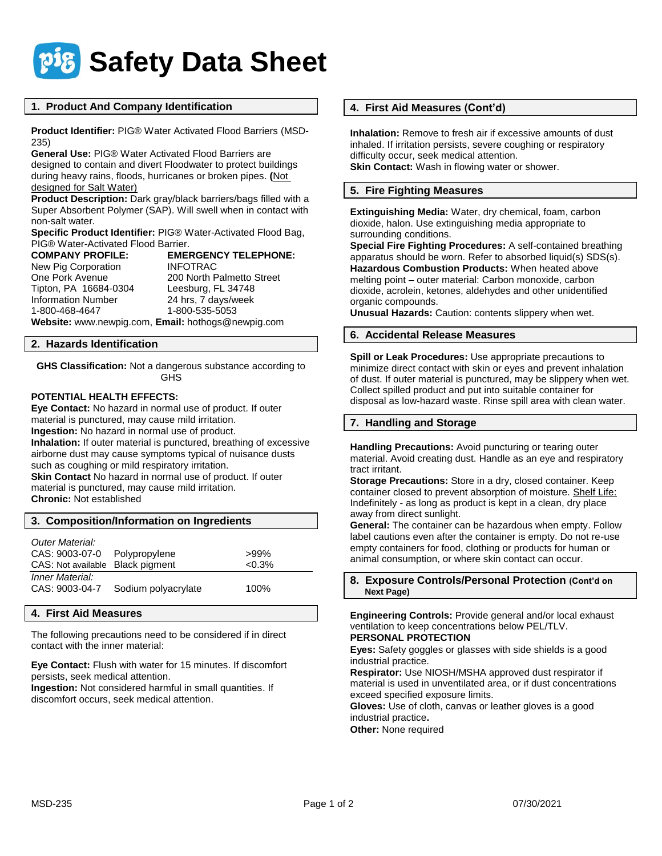

### **1. Product And Company Identification**

**Product Identifier:** PIG® Water Activated Flood Barriers (MSD-235)

**General Use:** PIG® Water Activated Flood Barriers are designed to contain and divert Floodwater to protect buildings during heavy rains, floods, hurricanes or broken pipes. **(**Not designed for Salt Water)

**Product Description:** Dark gray/black barriers/bags filled with a Super Absorbent Polymer (SAP). Will swell when in contact with non-salt water.

**Specific Product Identifier:** PIG® Water-Activated Flood Bag, **PIG® Water-Activated Flood Barrier.**<br>**COMPANY PROFILE:** EMEI

**COMPANY PROFILE: EMERGENCY TELEPHONE:** New Pig Corporation **INFOTRAC** One Pork Avenue 200 North Palmetto Street<br>Tipton, PA 16684-0304 Leesburg, FL 34748 Leesburg, FL 34748 Information Number 24 hrs, 7 days/week 1-800-468-4647 1-800-535-5053 **Website:** www.newpig.com, **Email:** hothogs@newpig.com

#### **2. Hazards Identification**

**GHS Classification:** Not a dangerous substance according to GHS

### **POTENTIAL HEALTH EFFECTS:**

**Eye Contact:** No hazard in normal use of product. If outer material is punctured, may cause mild irritation. **Ingestion:** No hazard in normal use of product. **Inhalation:** If outer material is punctured, breathing of excessive airborne dust may cause symptoms typical of nuisance dusts such as coughing or mild respiratory irritation. **Skin Contact** No hazard in normal use of product. If outer material is punctured, may cause mild irritation.

**Chronic:** Not established

| 3. Composition/Information on Ingredients |                     |          |
|-------------------------------------------|---------------------|----------|
| Outer Material:<br>CAS: 9003-07-0         | Polypropylene       | $>99\%$  |
| CAS: Not available Black pigment          |                     | $<0.3\%$ |
| Inner Material:<br>CAS: 9003-04-7         | Sodium polyacrylate | 100%     |

#### **4. First Aid Measures**

The following precautions need to be considered if in direct contact with the inner material:

**Eye Contact:** Flush with water for 15 minutes. If discomfort persists, seek medical attention.

**Ingestion:** Not considered harmful in small quantities. If discomfort occurs, seek medical attention.

### **4. First Aid Measures (Cont'd)**

**Inhalation:** Remove to fresh air if excessive amounts of dust inhaled. If irritation persists, severe coughing or respiratory difficulty occur, seek medical attention. **Skin Contact:** Wash in flowing water or shower.

### **5. Fire Fighting Measures**

**Extinguishing Media:** Water, dry chemical, foam, carbon dioxide, halon. Use extinguishing media appropriate to surrounding conditions.

**Special Fire Fighting Procedures:** A self-contained breathing apparatus should be worn. Refer to absorbed liquid(s) SDS(s). **Hazardous Combustion Products:** When heated above melting point – outer material: Carbon monoxide, carbon dioxide, acrolein, ketones, aldehydes and other unidentified organic compounds.

**Unusual Hazards:** Caution: contents slippery when wet.

### **6. Accidental Release Measures**

**Spill or Leak Procedures:** Use appropriate precautions to minimize direct contact with skin or eyes and prevent inhalation of dust. If outer material is punctured, may be slippery when wet. Collect spilled product and put into suitable container for disposal as low-hazard waste. Rinse spill area with clean water.

### **7. Handling and Storage**

**Handling Precautions:** Avoid puncturing or tearing outer material. Avoid creating dust. Handle as an eye and respiratory tract irritant.

**Storage Precautions:** Store in a dry, closed container. Keep container closed to prevent absorption of moisture. Shelf Life: Indefinitely - as long as product is kept in a clean, dry place away from direct sunlight.

**General:** The container can be hazardous when empty. Follow label cautions even after the container is empty. Do not re-use empty containers for food, clothing or products for human or animal consumption, or where skin contact can occur.

**8. Exposure Controls/Personal Protection (Cont'd on Next Page)**

**Engineering Controls:** Provide general and/or local exhaust ventilation to keep concentrations below PEL/TLV. **PERSONAL PROTECTION**

**Eyes:** Safety goggles or glasses with side shields is a good industrial practice.

**Respirator:** Use NIOSH/MSHA approved dust respirator if material is used in unventilated area, or if dust concentrations exceed specified exposure limits.

**Gloves:** Use of cloth, canvas or leather gloves is a good industrial practice**.**

**Other:** None required